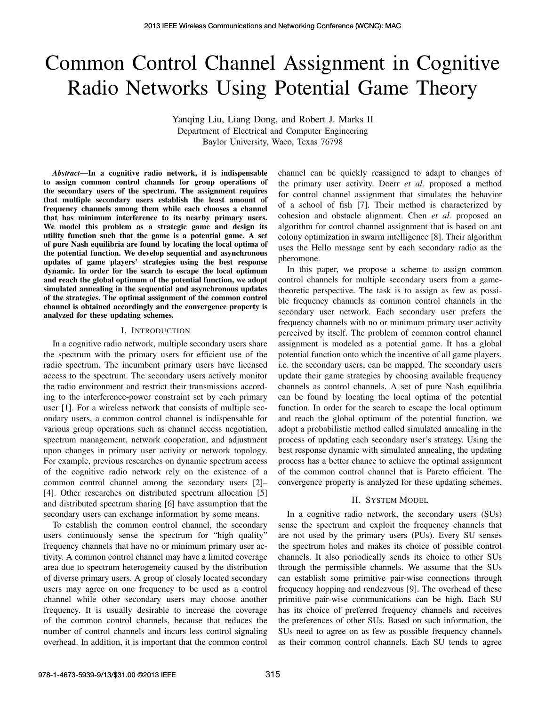# Common Control Channel Assignment in Cognitive Radio Networks Using Potential Game Theory

Yanqing Liu, Liang Dong, and Robert J. Marks II Department of Electrical and Computer Engineering Baylor University, Waco, Texas 76798

*Abstract*—In a cognitive radio network, it is indispensable to assign common control channels for group operations of the secondary users of the spectrum. The assignment requires that multiple secondary users establish the least amount of frequency channels among them while each chooses a channel that has minimum interference to its nearby primary users. We model this problem as a strategic game and design its utility function such that the game is a potential game. A set of pure Nash equilibria are found by locating the local optima of the potential function. We develop sequential and asynchronous updates of game players' strategies using the best response dynamic. In order for the search to escape the local optimum and reach the global optimum of the potential function, we adopt simulated annealing in the sequential and asynchronous updates of the strategies. The optimal assignment of the common control channel is obtained accordingly and the convergence property is analyzed for these updating schemes.

#### I. INTRODUCTION

In a cognitive radio network, multiple secondary users share the spectrum with the primary users for efficient use of the radio spectrum. The incumbent primary users have licensed access to the spectrum. The secondary users actively monitor the radio environment and restrict their transmissions according to the interference-power constraint set by each primary user [1]. For a wireless network that consists of multiple secondary users, a common control channel is indispensable for various group operations such as channel access negotiation, spectrum management, network cooperation, and adjustment upon changes in primary user activity or network topology. For example, previous researches on dynamic spectrum access of the cognitive radio network rely on the existence of a common control channel among the secondary users [2]– [4]. Other researches on distributed spectrum allocation [5] and distributed spectrum sharing [6] have assumption that the secondary users can exchange information by some means.

To establish the common control channel, the secondary users continuously sense the spectrum for "high quality" frequency channels that have no or minimum primary user activity. A common control channel may have a limited coverage area due to spectrum heterogeneity caused by the distribution of diverse primary users. A group of closely located secondary users may agree on one frequency to be used as a control channel while other secondary users may choose another frequency. It is usually desirable to increase the coverage of the common control channels, because that reduces the number of control channels and incurs less control signaling overhead. In addition, it is important that the common control

channel can be quickly reassigned to adapt to changes of the primary user activity. Doerr *et al.* proposed a method for control channel assignment that simulates the behavior of a school of fish [7]. Their method is characterized by cohesion and obstacle alignment. Chen *et al.* proposed an algorithm for control channel assignment that is based on ant colony optimization in swarm intelligence [8]. Their algorithm uses the Hello message sent by each secondary radio as the pheromone.

In this paper, we propose a scheme to assign common control channels for multiple secondary users from a gametheoretic perspective. The task is to assign as few as possible frequency channels as common control channels in the secondary user network. Each secondary user prefers the frequency channels with no or minimum primary user activity perceived by itself. The problem of common control channel assignment is modeled as a potential game. It has a global potential function onto which the incentive of all game players, i.e. the secondary users, can be mapped. The secondary users update their game strategies by choosing available frequency channels as control channels. A set of pure Nash equilibria can be found by locating the local optima of the potential function. In order for the search to escape the local optimum and reach the global optimum of the potential function, we adopt a probabilistic method called simulated annealing in the process of updating each secondary user's strategy. Using the best response dynamic with simulated annealing, the updating process has a better chance to achieve the optimal assignment of the common control channel that is Pareto efficient. The convergence property is analyzed for these updating schemes.

#### II. SYSTEM MODEL

In a cognitive radio network, the secondary users (SUs) sense the spectrum and exploit the frequency channels that are not used by the primary users (PUs). Every SU senses the spectrum holes and makes its choice of possible control channels. It also periodically sends its choice to other SUs through the permissible channels. We assume that the SUs can establish some primitive pair-wise connections through frequency hopping and rendezvous [9]. The overhead of these primitive pair-wise communications can be high. Each SU has its choice of preferred frequency channels and receives the preferences of other SUs. Based on such information, the SUs need to agree on as few as possible frequency channels as their common control channels. Each SU tends to agree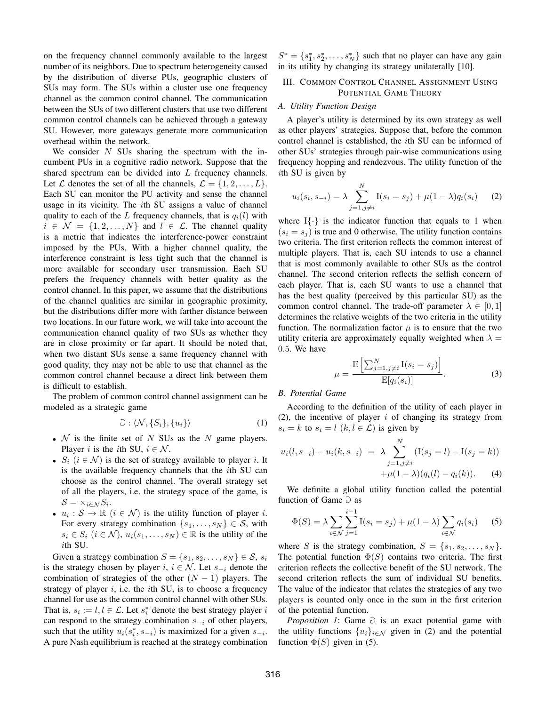on the frequency channel commonly available to the largest number of its neighbors. Due to spectrum heterogeneity caused by the distribution of diverse PUs, geographic clusters of SUs may form. The SUs within a cluster use one frequency channel as the common control channel. The communication between the SUs of two different clusters that use two different common control channels can be achieved through a gateway SU. However, more gateways generate more communication overhead within the network.

We consider  $N$  SUs sharing the spectrum with the incumbent PUs in a cognitive radio network. Suppose that the shared spectrum can be divided into L frequency channels. Let L denotes the set of all the channels,  $\mathcal{L} = \{1, 2, \ldots, L\}$ . Each SU can monitor the PU activity and sense the channel usage in its vicinity. The ith SU assigns a value of channel quality to each of the L frequency channels, that is  $q_i(l)$  with  $i \in \mathcal{N} = \{1, 2, ..., N\}$  and  $l \in \mathcal{L}$ . The channel quality is a metric that indicates the interference-power constraint imposed by the PUs. With a higher channel quality, the interference constraint is less tight such that the channel is more available for secondary user transmission. Each SU prefers the frequency channels with better quality as the control channel. In this paper, we assume that the distributions of the channel qualities are similar in geographic proximity, but the distributions differ more with farther distance between two locations. In our future work, we will take into account the communication channel quality of two SUs as whether they are in close proximity or far apart. It should be noted that, when two distant SUs sense a same frequency channel with good quality, they may not be able to use that channel as the common control channel because a direct link between them is difficult to establish.

The problem of common control channel assignment can be modeled as a strategic game

$$
\mathfrak{O}: \langle \mathcal{N}, \{S_i\}, \{u_i\} \rangle \tag{1}
$$

- $N$  is the finite set of N SUs as the N game players. Player i is the ith SU,  $i \in \mathcal{N}$ .
- $S_i$   $(i \in \mathcal{N})$  is the set of strategy available to player *i*. It is the available frequency channels that the ith SU can choose as the control channel. The overall strategy set of all the players, i.e. the strategy space of the game, is  $S = \times_{i \in \mathcal{N}} S_i$ .
- $u_i : S \to \mathbb{R}$   $(i \in \mathcal{N})$  is the utility function of player i. For every strategy combination  $\{s_1, \ldots, s_N\} \in S$ , with  $s_i \in S_i$   $(i \in \mathcal{N})$ ,  $u_i(s_1, \ldots, s_N) \in \mathbb{R}$  is the utility of the ith SU.

Given a strategy combination  $S = \{s_1, s_2, \ldots, s_N\} \in \mathcal{S}, s_i$ is the strategy chosen by player i,  $i \in \mathcal{N}$ . Let  $s_{-i}$  denote the combination of strategies of the other  $(N - 1)$  players. The strategy of player  $i$ , i.e. the *i*th SU, is to choose a frequency channel for use as the common control channel with other SUs. That is,  $s_i := l, l \in \mathcal{L}$ . Let  $s_i^*$  denote the best strategy player i can respond to the strategy combination  $s_{-i}$  of other players, such that the utility  $u_i(s_i^*, s_{-i})$  is maximized for a given  $s_{-i}$ . A pure Nash equilibrium is reached at the strategy combination  $S^* = \{s_1^*, s_2^*, \dots, s_N^*\}$  such that no player can have any gain in its utility by changing its strategy unilaterally [10].

# III. COMMON CONTROL CHANNEL ASSIGNMENT USING POTENTIAL GAME THEORY

### *A. Utility Function Design*

A player's utility is determined by its own strategy as well as other players' strategies. Suppose that, before the common control channel is established, the ith SU can be informed of other SUs' strategies through pair-wise communications using frequency hopping and rendezvous. The utility function of the ith SU is given by

$$
u_i(s_i, s_{-i}) = \lambda \sum_{j=1, j \neq i}^{N} I(s_i = s_j) + \mu (1 - \lambda) q_i(s_i)
$$
 (2)

where  $I\{\cdot\}$  is the indicator function that equals to 1 when  $(s<sub>i</sub> = s<sub>i</sub>)$  is true and 0 otherwise. The utility function contains two criteria. The first criterion reflects the common interest of multiple players. That is, each SU intends to use a channel that is most commonly available to other SUs as the control channel. The second criterion reflects the selfish concern of each player. That is, each SU wants to use a channel that has the best quality (perceived by this particular SU) as the common control channel. The trade-off parameter  $\lambda \in [0, 1]$ determines the relative weights of the two criteria in the utility function. The normalization factor  $\mu$  is to ensure that the two utility criteria are approximately equally weighted when  $\lambda =$ 0.5. We have

$$
\mu = \frac{\mathcal{E}\left[\sum_{j=1,j\neq i}^{N} \mathcal{I}(s_i = s_j)\right]}{\mathcal{E}[q_i(s_i)]}.
$$
\n(3)

## *B. Potential Game*

According to the definition of the utility of each player in (2), the incentive of player  $i$  of changing its strategy from  $s_i = k$  to  $s_i = l$   $(k, l \in \mathcal{L})$  is given by

$$
u_i(l, s_{-i}) - u_i(k, s_{-i}) = \lambda \sum_{j=1, j \neq i}^{N} (\mathbf{I}(s_j = l) - \mathbf{I}(s_j = k)) + \mu (1 - \lambda)(q_i(l) - q_i(k)).
$$
 (4)

We definite a global utility function called the potential function of Game  $\partial$  as

$$
\Phi(S) = \lambda \sum_{i \in \mathcal{N}} \sum_{j=1}^{i-1} I(s_i = s_j) + \mu(1 - \lambda) \sum_{i \in \mathcal{N}} q_i(s_i)
$$
 (5)

where S is the strategy combination,  $S = \{s_1, s_2, \ldots, s_N\}.$ The potential function  $\Phi(S)$  contains two criteria. The first criterion reflects the collective benefit of the SU network. The second criterion reflects the sum of individual SU benefits. The value of the indicator that relates the strategies of any two players is counted only once in the sum in the first criterion of the potential function.

*Proposition 1*: Game  $\supset$  is an exact potential game with the utility functions  $\{u_i\}_{i\in\mathcal{N}}$  given in (2) and the potential function  $\Phi(S)$  given in (5).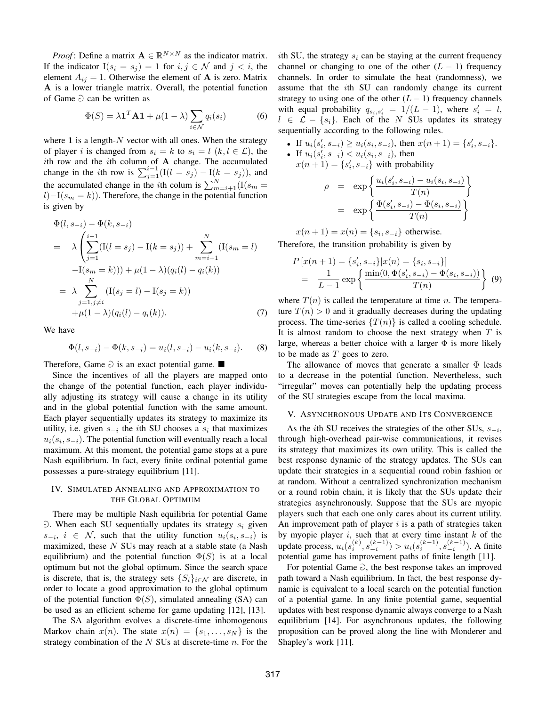*Proof*: Define a matrix  $\mathbf{A} \in \mathbb{R}^{N \times N}$  as the indicator matrix. If the indicator  $I(s_i = s_j) = 1$  for  $i, j \in \mathcal{N}$  and  $j < i$ , the element  $A_{ij} = 1$ . Otherwise the element of **A** is zero. Matrix A is a lower triangle matrix. Overall, the potential function of Game  $\supset$  can be written as

$$
\Phi(S) = \lambda \mathbf{1}^T \mathbf{A} \mathbf{1} + \mu (1 - \lambda) \sum_{i \in \mathcal{N}} q_i(s_i)
$$
 (6)

where 1 is a length- $N$  vector with all ones. When the strategy of player i is changed from  $s_i = k$  to  $s_i = l$   $(k, l \in \mathcal{L})$ , the ith row and the ith column of  $A$  change. The accumulated change in the *i*th row is  $\sum_{j=1}^{i-1} (I(l = s_j) - I(k = s_j))$ , and the accumulated change in the *i*th colum is  $\sum_{m=i+1}^{N} (I(s_m$  $l$ )−I(s<sub>m</sub> = k)). Therefore, the change in the potential function is given by

$$
\Phi(l, s_{-i}) - \Phi(k, s_{-i})
$$
\n
$$
= \lambda \left( \sum_{j=1}^{i-1} (I(l = s_j) - I(k = s_j)) + \sum_{m=i+1}^{N} (I(s_m = l) - I(s_m = k))) + \mu(1 - \lambda)(q_i(l) - q_i(k)) \right)
$$
\n
$$
= \lambda \sum_{\substack{j=1, j \neq i \\ j+1, j \neq i}} (I(s_j = l) - I(s_j = k))
$$
\n
$$
+ \mu(1 - \lambda)(q_i(l) - q_i(k)). \tag{7}
$$

We have

$$
\Phi(l, s_{-i}) - \Phi(k, s_{-i}) = u_i(l, s_{-i}) - u_i(k, s_{-i}).
$$
 (8)

Therefore, Game  $\supset$  is an exact potential game.

Since the incentives of all the players are mapped onto the change of the potential function, each player individually adjusting its strategy will cause a change in its utility and in the global potential function with the same amount. Each player sequentially updates its strategy to maximize its utility, i.e. given  $s_{-i}$  the *i*th SU chooses a  $s_i$  that maximizes  $u_i(s_i, s_{-i})$ . The potential function will eventually reach a local maximum. At this moment, the potential game stops at a pure Nash equilibrium. In fact, every finite ordinal potential game possesses a pure-strategy equilibrium [11].

## IV. SIMULATED ANNEALING AND APPROXIMATION TO THE GLOBAL OPTIMUM

There may be multiple Nash equilibria for potential Game  $\partial$ . When each SU sequentially updates its strategy  $s_i$  given  $s_{-i}, i \in \mathcal{N}$ , such that the utility function  $u_i(s_i, s_{-i})$  is maximized, these  $N$  SUs may reach at a stable state (a Nash equilibrium) and the potential function  $\Phi(S)$  is at a local optimum but not the global optimum. Since the search space is discrete, that is, the strategy sets  $\{S_i\}_{i\in\mathcal{N}}$  are discrete, in order to locate a good approximation to the global optimum of the potential function  $\Phi(S)$ , simulated annealing (SA) can be used as an efficient scheme for game updating [12], [13].

The SA algorithm evolves a discrete-time inhomogenous Markov chain  $x(n)$ . The state  $x(n) = \{s_1, \ldots, s_N\}$  is the strategy combination of the  $N$  SUs at discrete-time  $n$ . For the

ith SU, the strategy  $s_i$  can be staying at the current frequency channel or changing to one of the other  $(L - 1)$  frequency channels. In order to simulate the heat (randomness), we assume that the ith SU can randomly change its current strategy to using one of the other  $(L - 1)$  frequency channels with equal probability  $q_{s_i,s_i'} = 1/(L-1)$ , where  $s_i' = l$ ,  $l \in \mathcal{L} - \{s_i\}$ . Each of the N SUs updates its strategy sequentially according to the following rules.

• If  $u_i(s'_i, s_{-i}) \ge u_i(s_i, s_{-i})$ , then  $x(n + 1) = \{s'_i, s_{-i}\}.$ • If  $u_i(s_i', s_{-i}) < u_i(s_i, s_{-i})$ , then  $x(n+1) = \{s'_i, s_{-i}\}\$  with probability

$$
\rho = \exp \left\{ \frac{u_i(s'_i, s_{-i}) - u_i(s_i, s_{-i})}{T(n)} \right\}
$$

$$
= \exp \left\{ \frac{\Phi(s'_i, s_{-i}) - \Phi(s_i, s_{-i})}{T(n)} \right\}
$$

$$
x(n + 1) = x(n) = \{s_i, s_{-i}\}
$$
 otherwise.

Therefore, the transition probability is given by

$$
P[x(n+1) = \{s'_i, s_{-i}\}|x(n) = \{s_i, s_{-i}\}]
$$
  
= 
$$
\frac{1}{L-1} \exp \left\{ \frac{\min(0, \Phi(s'_i, s_{-i}) - \Phi(s_i, s_{-i}))}{T(n)} \right\}
$$
(9)

where  $T(n)$  is called the temperature at time n. The temperature  $T(n) > 0$  and it gradually decreases during the updating process. The time-series  $\{T(n)\}\$ is called a cooling schedule. It is almost random to choose the next strategy when  $T$  is large, whereas a better choice with a larger  $\Phi$  is more likely to be made as  $T$  goes to zero.

The allowance of moves that generate a smaller  $\Phi$  leads to a decrease in the potential function. Nevertheless, such "irregular" moves can potentially help the updating process of the SU strategies escape from the local maxima.

#### V. ASYNCHRONOUS UPDATE AND ITS CONVERGENCE

As the *i*th SU receives the strategies of the other SUs,  $s_{-i}$ , through high-overhead pair-wise communications, it revises its strategy that maximizes its own utility. This is called the best response dynamic of the strategy updates. The SUs can update their strategies in a sequential round robin fashion or at random. Without a centralized synchronization mechanism or a round robin chain, it is likely that the SUs update their strategies asynchronously. Suppose that the SUs are myopic players such that each one only cares about its current utility. An improvement path of player  $i$  is a path of strategies taken by myopic player  $i$ , such that at every time instant  $k$  of the update process,  $u_i(s_i^{(k)}, s_{-i}^{(k-1)}) > u_i(s_i^{(k-1)}, s_{-i}^{(k-1)})$ . A finite potential game has improvement paths of finite length [11].

For potential Game  $\Game$ , the best response takes an improved path toward a Nash equilibrium. In fact, the best response dynamic is equivalent to a local search on the potential function of a potential game. In any finite potential game, sequential updates with best response dynamic always converge to a Nash equilibrium [14]. For asynchronous updates, the following proposition can be proved along the line with Monderer and Shapley's work [11].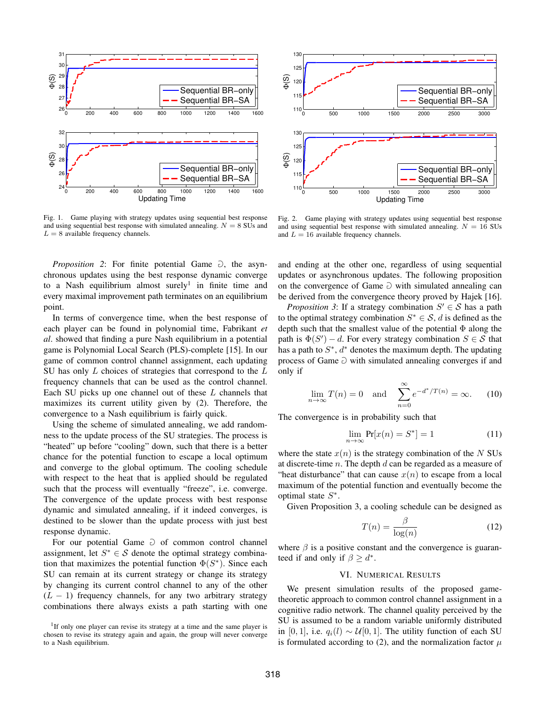

Fig. 1. Game playing with strategy updates using sequential best response and using sequential best response with simulated annealing.  $N = 8$  SUs and  $L = 8$  available frequency channels.

*Proposition 2*: For finite potential Game  $\partial$ , the asynchronous updates using the best response dynamic converge to a Nash equilibrium almost surely<sup>1</sup> in finite time and every maximal improvement path terminates on an equilibrium point.

In terms of convergence time, when the best response of each player can be found in polynomial time, Fabrikant *et al*. showed that finding a pure Nash equilibrium in a potential game is Polynomial Local Search (PLS)-complete [15]. In our game of common control channel assignment, each updating SU has only  $L$  choices of strategies that correspond to the  $L$ frequency channels that can be used as the control channel. Each SU picks up one channel out of these  $L$  channels that maximizes its current utility given by (2). Therefore, the convergence to a Nash equilibrium is fairly quick.

Using the scheme of simulated annealing, we add randomness to the update process of the SU strategies. The process is "heated" up before "cooling" down, such that there is a better chance for the potential function to escape a local optimum and converge to the global optimum. The cooling schedule with respect to the heat that is applied should be regulated such that the process will eventually "freeze", i.e. converge. The convergence of the update process with best response dynamic and simulated annealing, if it indeed converges, is destined to be slower than the update process with just best response dynamic.

For our potential Game  $\supset$  of common control channel assignment, let  $S^* \in \mathcal{S}$  denote the optimal strategy combination that maximizes the potential function  $\Phi(S^*)$ . Since each SU can remain at its current strategy or change its strategy by changing its current control channel to any of the other  $(L - 1)$  frequency channels, for any two arbitrary strategy combinations there always exists a path starting with one

<sup>1</sup>If only one player can revise its strategy at a time and the same player is chosen to revise its strategy again and again, the group will never converge to a Nash equilibrium.



Fig. 2. Game playing with strategy updates using sequential best response and using sequential best response with simulated annealing.  $N = 16$  SUs and  $L = 16$  available frequency channels.

and ending at the other one, regardless of using sequential updates or asynchronous updates. The following proposition on the convergence of Game  $\supset$  with simulated annealing can be derived from the convergence theory proved by Hajek [16].

*Proposition 3*: If a strategy combination  $S' \in S$  has a path to the optimal strategy combination  $S^* \in \mathcal{S}$ , d is defined as the depth such that the smallest value of the potential Φ along the path is  $\Phi(S') - d$ . For every strategy combination  $S \in \mathcal{S}$  that has a path to  $S^*$ ,  $d^*$  denotes the maximum depth. The updating process of Game  $\Game$  with simulated annealing converges if and only if

$$
\lim_{n \to \infty} T(n) = 0 \quad \text{and} \quad \sum_{n=0}^{\infty} e^{-d^*/T(n)} = \infty. \tag{10}
$$

The convergence is in probability such that

$$
\lim_{n \to \infty} \Pr[x(n) = S^*] = 1 \tag{11}
$$

where the state  $x(n)$  is the strategy combination of the N SUs at discrete-time n. The depth  $d$  can be regarded as a measure of "heat disturbance" that can cause  $x(n)$  to escape from a local maximum of the potential function and eventually become the optimal state  $S^*$ .

Given Proposition 3, a cooling schedule can be designed as

$$
T(n) = \frac{\beta}{\log(n)}\tag{12}
$$

where  $\beta$  is a positive constant and the convergence is guaranteed if and only if  $\beta \geq d^*$ .

## VI. NUMERICAL RESULTS

We present simulation results of the proposed gametheoretic approach to common control channel assignment in a cognitive radio network. The channel quality perceived by the SU is assumed to be a random variable uniformly distributed in [0, 1], i.e.  $q_i(l) \sim U[0, 1]$ . The utility function of each SU is formulated according to (2), and the normalization factor  $\mu$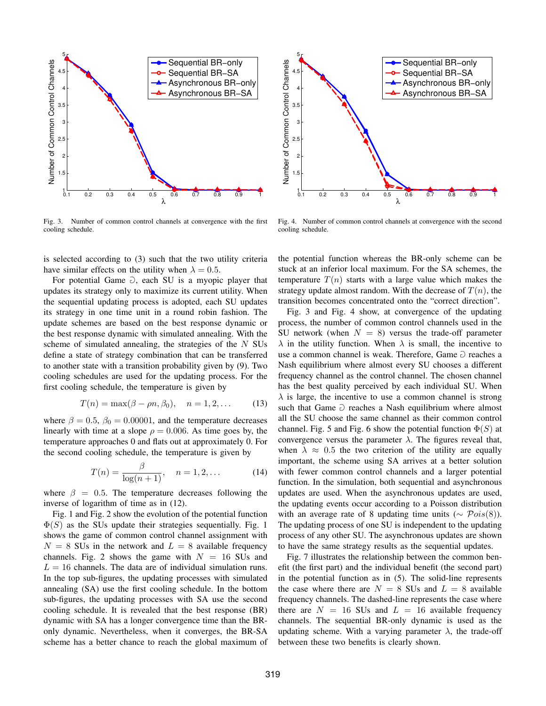

Fig. 3. Number of common control channels at convergence with the first cooling schedule.

5 Sequential BR−only Number of Common Control Channels Number of Common Control Channels 4.5 Sequential BR−SA Asynchronous BR−only 4 Asynchronous BR−SA 3.5 3 2.5  $\overline{2}$ 1.5  $0.1$ 0.1 0.2 0.3 0.4 0.5 0.6 0.7 0.8 0.9 1 λ

Fig. 4. Number of common control channels at convergence with the second cooling schedule.

is selected according to (3) such that the two utility criteria have similar effects on the utility when  $\lambda = 0.5$ .

For potential Game  $\partial$ , each SU is a myopic player that updates its strategy only to maximize its current utility. When the sequential updating process is adopted, each SU updates its strategy in one time unit in a round robin fashion. The update schemes are based on the best response dynamic or the best response dynamic with simulated annealing. With the scheme of simulated annealing, the strategies of the  $N$  SUs define a state of strategy combination that can be transferred to another state with a transition probability given by (9). Two cooling schedules are used for the updating process. For the first cooling schedule, the temperature is given by

$$
T(n) = \max(\beta - \rho n, \beta_0), \quad n = 1, 2, ... \tag{13}
$$

where  $\beta = 0.5$ ,  $\beta_0 = 0.00001$ , and the temperature decreases linearly with time at a slope  $\rho = 0.006$ . As time goes by, the temperature approaches 0 and flats out at approximately 0. For the second cooling schedule, the temperature is given by

$$
T(n) = \frac{\beta}{\log(n+1)}, \quad n = 1, 2, \dots
$$
 (14)

where  $\beta = 0.5$ . The temperature decreases following the inverse of logarithm of time as in (12).

Fig. 1 and Fig. 2 show the evolution of the potential function  $\Phi(S)$  as the SUs update their strategies sequentially. Fig. 1 shows the game of common control channel assignment with  $N = 8$  SUs in the network and  $L = 8$  available frequency channels. Fig. 2 shows the game with  $N = 16$  SUs and  $L = 16$  channels. The data are of individual simulation runs. In the top sub-figures, the updating processes with simulated annealing (SA) use the first cooling schedule. In the bottom sub-figures, the updating processes with SA use the second cooling schedule. It is revealed that the best response (BR) dynamic with SA has a longer convergence time than the BRonly dynamic. Nevertheless, when it converges, the BR-SA scheme has a better chance to reach the global maximum of the potential function whereas the BR-only scheme can be stuck at an inferior local maximum. For the SA schemes, the temperature  $T(n)$  starts with a large value which makes the strategy update almost random. With the decrease of  $T(n)$ , the transition becomes concentrated onto the "correct direction".

Fig. 3 and Fig. 4 show, at convergence of the updating process, the number of common control channels used in the SU network (when  $N = 8$ ) versus the trade-off parameter  $\lambda$  in the utility function. When  $\lambda$  is small, the incentive to use a common channel is weak. Therefore, Game  $\supset$  reaches a Nash equilibrium where almost every SU chooses a different frequency channel as the control channel. The chosen channel has the best quality perceived by each individual SU. When  $\lambda$  is large, the incentive to use a common channel is strong such that Game  $\Game$  reaches a Nash equilibrium where almost all the SU choose the same channel as their common control channel. Fig. 5 and Fig. 6 show the potential function  $\Phi(S)$  at convergence versus the parameter  $\lambda$ . The figures reveal that, when  $\lambda \approx 0.5$  the two criterion of the utility are equally important, the scheme using SA arrives at a better solution with fewer common control channels and a larger potential function. In the simulation, both sequential and asynchronous updates are used. When the asynchronous updates are used, the updating events occur according to a Poisson distribution with an average rate of 8 updating time units ( $\sim \text{Pois}(8)$ ). The updating process of one SU is independent to the updating process of any other SU. The asynchronous updates are shown to have the same strategy results as the sequential updates.

Fig. 7 illustrates the relationship between the common benefit (the first part) and the individual benefit (the second part) in the potential function as in (5). The solid-line represents the case where there are  $N = 8$  SUs and  $L = 8$  available frequency channels. The dashed-line represents the case where there are  $N = 16$  SUs and  $L = 16$  available frequency channels. The sequential BR-only dynamic is used as the updating scheme. With a varying parameter  $\lambda$ , the trade-off between these two benefits is clearly shown.